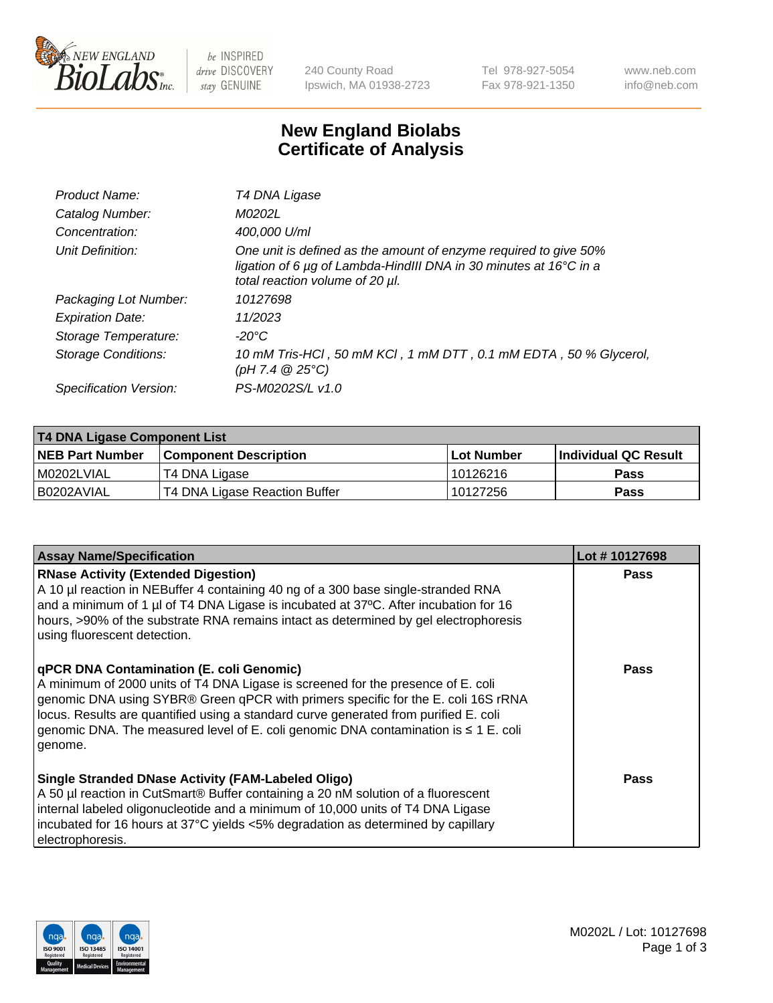

be INSPIRED drive DISCOVERY stay GENUINE

240 County Road Ipswich, MA 01938-2723 Tel 978-927-5054 Fax 978-921-1350 www.neb.com info@neb.com

## **New England Biolabs Certificate of Analysis**

| Product Name:              | T4 DNA Ligase                                                                                                                                                            |
|----------------------------|--------------------------------------------------------------------------------------------------------------------------------------------------------------------------|
| Catalog Number:            | M0202L                                                                                                                                                                   |
| Concentration:             | 400,000 U/ml                                                                                                                                                             |
| Unit Definition:           | One unit is defined as the amount of enzyme required to give 50%<br>ligation of 6 µg of Lambda-HindIII DNA in 30 minutes at 16°C in a<br>total reaction volume of 20 µl. |
| Packaging Lot Number:      | 10127698                                                                                                                                                                 |
| <b>Expiration Date:</b>    | 11/2023                                                                                                                                                                  |
| Storage Temperature:       | -20°C                                                                                                                                                                    |
| <b>Storage Conditions:</b> | 10 mM Tris-HCl, 50 mM KCl, 1 mM DTT, 0.1 mM EDTA, 50 % Glycerol,<br>(pH 7.4 $@25°C$ )                                                                                    |
| Specification Version:     | PS-M0202S/L v1.0                                                                                                                                                         |
|                            |                                                                                                                                                                          |

| <b>T4 DNA Ligase Component List</b> |                               |            |                             |  |
|-------------------------------------|-------------------------------|------------|-----------------------------|--|
| <b>NEB Part Number</b>              | <b>Component Description</b>  | Lot Number | <b>Individual QC Result</b> |  |
| I M0202LVIAL                        | T4 DNA Ligase                 | 10126216   | <b>Pass</b>                 |  |
| I B0202AVIAL                        | T4 DNA Ligase Reaction Buffer | 10127256   | <b>Pass</b>                 |  |

| <b>Assay Name/Specification</b>                                                                                                                                                                                                                                                                                                                                                                                    | Lot #10127698 |
|--------------------------------------------------------------------------------------------------------------------------------------------------------------------------------------------------------------------------------------------------------------------------------------------------------------------------------------------------------------------------------------------------------------------|---------------|
| <b>RNase Activity (Extended Digestion)</b><br>A 10 µl reaction in NEBuffer 4 containing 40 ng of a 300 base single-stranded RNA<br>and a minimum of 1 $\mu$ of T4 DNA Ligase is incubated at 37°C. After incubation for 16<br>hours, >90% of the substrate RNA remains intact as determined by gel electrophoresis<br>using fluorescent detection.                                                                 | <b>Pass</b>   |
| <b>qPCR DNA Contamination (E. coli Genomic)</b><br>A minimum of 2000 units of T4 DNA Ligase is screened for the presence of E. coli<br>genomic DNA using SYBR® Green qPCR with primers specific for the E. coli 16S rRNA<br>locus. Results are quantified using a standard curve generated from purified E. coli<br>genomic DNA. The measured level of E. coli genomic DNA contamination is ≤ 1 E. coli<br>genome. | Pass          |
| <b>Single Stranded DNase Activity (FAM-Labeled Oligo)</b><br>A 50 µl reaction in CutSmart® Buffer containing a 20 nM solution of a fluorescent<br>internal labeled oligonucleotide and a minimum of 10,000 units of T4 DNA Ligase<br>incubated for 16 hours at 37°C yields <5% degradation as determined by capillary<br>electrophoresis.                                                                          | <b>Pass</b>   |

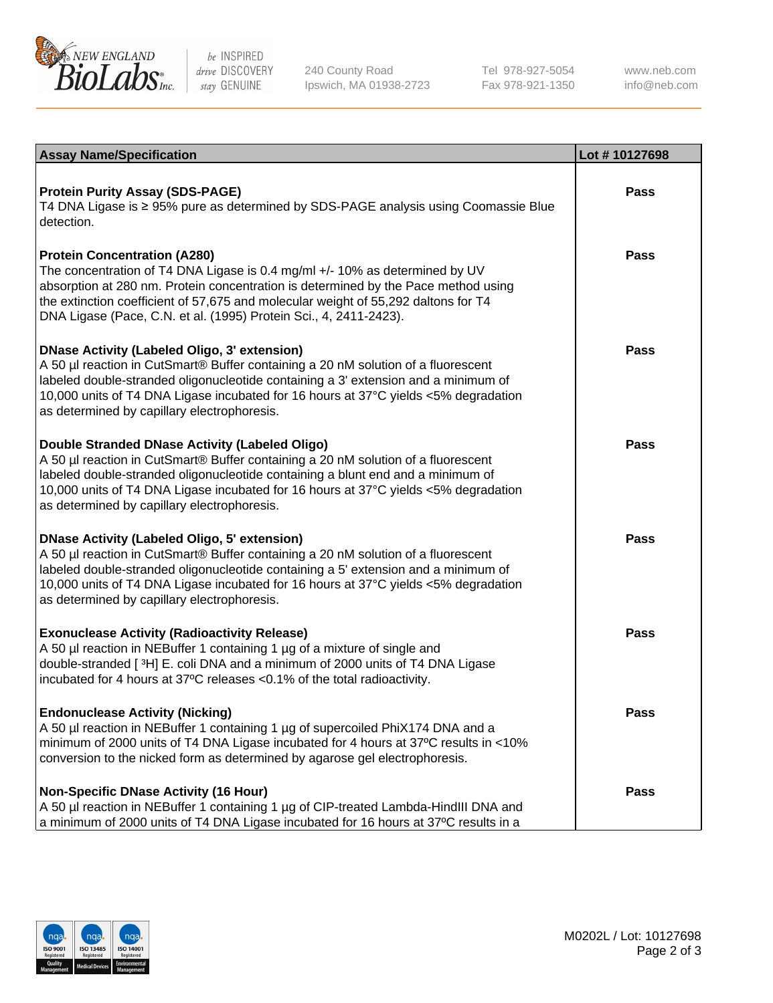

be INSPIRED drive DISCOVERY stay GENUINE

240 County Road Ipswich, MA 01938-2723 Tel 978-927-5054 Fax 978-921-1350

www.neb.com info@neb.com

| <b>Assay Name/Specification</b>                                                                                                                                                                                                                                                                                                                                      | Lot #10127698 |
|----------------------------------------------------------------------------------------------------------------------------------------------------------------------------------------------------------------------------------------------------------------------------------------------------------------------------------------------------------------------|---------------|
| <b>Protein Purity Assay (SDS-PAGE)</b><br>T4 DNA Ligase is ≥ 95% pure as determined by SDS-PAGE analysis using Coomassie Blue<br>detection.                                                                                                                                                                                                                          | <b>Pass</b>   |
| <b>Protein Concentration (A280)</b><br>The concentration of T4 DNA Ligase is 0.4 mg/ml +/- 10% as determined by UV<br>absorption at 280 nm. Protein concentration is determined by the Pace method using<br>the extinction coefficient of 57,675 and molecular weight of 55,292 daltons for T4<br>DNA Ligase (Pace, C.N. et al. (1995) Protein Sci., 4, 2411-2423).  | <b>Pass</b>   |
| <b>DNase Activity (Labeled Oligo, 3' extension)</b><br>A 50 µl reaction in CutSmart® Buffer containing a 20 nM solution of a fluorescent<br>labeled double-stranded oligonucleotide containing a 3' extension and a minimum of<br>10,000 units of T4 DNA Ligase incubated for 16 hours at 37°C yields <5% degradation<br>as determined by capillary electrophoresis. | <b>Pass</b>   |
| Double Stranded DNase Activity (Labeled Oligo)<br>A 50 µl reaction in CutSmart® Buffer containing a 20 nM solution of a fluorescent<br>labeled double-stranded oligonucleotide containing a blunt end and a minimum of<br>10,000 units of T4 DNA Ligase incubated for 16 hours at 37°C yields <5% degradation<br>as determined by capillary electrophoresis.         | Pass          |
| <b>DNase Activity (Labeled Oligo, 5' extension)</b><br>A 50 µl reaction in CutSmart® Buffer containing a 20 nM solution of a fluorescent<br>labeled double-stranded oligonucleotide containing a 5' extension and a minimum of<br>10,000 units of T4 DNA Ligase incubated for 16 hours at 37°C yields <5% degradation<br>as determined by capillary electrophoresis. | <b>Pass</b>   |
| <b>Exonuclease Activity (Radioactivity Release)</b><br>A 50 µl reaction in NEBuffer 1 containing 1 µg of a mixture of single and<br>double-stranded [3H] E. coli DNA and a minimum of 2000 units of T4 DNA Ligase<br>incubated for 4 hours at 37°C releases <0.1% of the total radioactivity.                                                                        | <b>Pass</b>   |
| <b>Endonuclease Activity (Nicking)</b><br>A 50 µl reaction in NEBuffer 1 containing 1 µg of supercoiled PhiX174 DNA and a<br>minimum of 2000 units of T4 DNA Ligase incubated for 4 hours at 37°C results in <10%<br>conversion to the nicked form as determined by agarose gel electrophoresis.                                                                     | <b>Pass</b>   |
| <b>Non-Specific DNase Activity (16 Hour)</b><br>A 50 µl reaction in NEBuffer 1 containing 1 µg of CIP-treated Lambda-HindIII DNA and<br>a minimum of 2000 units of T4 DNA Ligase incubated for 16 hours at 37°C results in a                                                                                                                                         | <b>Pass</b>   |